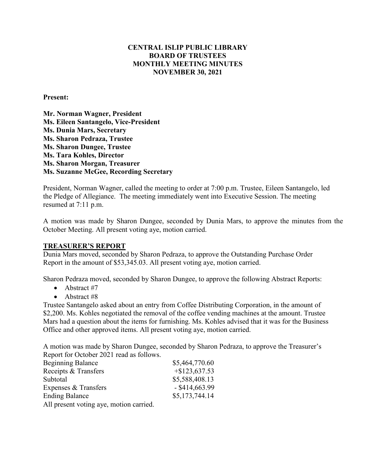## **CENTRAL ISLIP PUBLIC LIBRARY BOARD OF TRUSTEES MONTHLY MEETING MINUTES NOVEMBER 30, 2021**

#### **Present:**

**Mr. Norman Wagner, President Ms. Eileen Santangelo, Vice-President Ms. Dunia Mars, Secretary Ms. Sharon Pedraza, Trustee** **Ms. Sharon Dungee, Trustee Ms. Tara Kohles, Director Ms. Sharon Morgan, Treasurer Ms. Suzanne McGee, Recording Secretary**

President, Norman Wagner, called the meeting to order at 7:00 p.m. Trustee, Eileen Santangelo, led the Pledge of Allegiance. The meeting immediately went into Executive Session. The meeting resumed at 7:11 p.m.

A motion was made by Sharon Dungee, seconded by Dunia Mars, to approve the minutes from the October Meeting. All present voting aye, motion carried.

#### **TREASURER'S REPORT**

Dunia Mars moved, seconded by Sharon Pedraza, to approve the Outstanding Purchase Order Report in the amount of \$53,345.03. All present voting aye, motion carried.

Sharon Pedraza moved, seconded by Sharon Dungee, to approve the following Abstract Reports:

- Abstract #7
- Abstract #8

Trustee Santangelo asked about an entry from Coffee Distributing Corporation, in the amount of \$2,200. Ms. Kohles negotiated the removal of the coffee vending machines at the amount. Trustee Mars had a question about the items for furnishing. Ms. Kohles advised that it was for the Business Office and other approved items. All present voting aye, motion carried.

A motion was made by Sharon Dungee, seconded by Sharon Pedraza, to approve the Treasurer's Report for October 2021 read as follows.

| <b>Beginning Balance</b>                | \$5,464,770.60   |
|-----------------------------------------|------------------|
| Receipts & Transfers                    | $+$ \$123,637.53 |
| Subtotal                                | \$5,588,408.13   |
| Expenses & Transfers                    | $-$ \$414,663.99 |
| <b>Ending Balance</b>                   | \$5,173,744.14   |
| All present voting aye, motion carried. |                  |